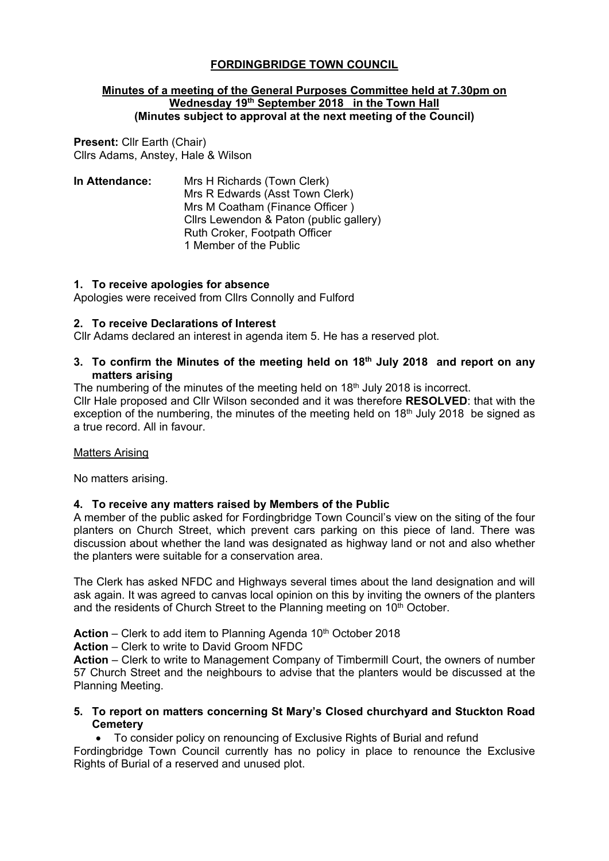# **FORDINGBRIDGE TOWN COUNCIL**

#### **Minutes of a meeting of the General Purposes Committee held at 7.30pm on Wednesday 19th September 2018 in the Town Hall (Minutes subject to approval at the next meeting of the Council)**

**Present:** Cllr Earth (Chair) Cllrs Adams, Anstey, Hale & Wilson

**In Attendance:** Mrs H Richards (Town Clerk) Mrs R Edwards (Asst Town Clerk) Mrs M Coatham (Finance Officer ) Cllrs Lewendon & Paton (public gallery) Ruth Croker, Footpath Officer 1 Member of the Public

### **1. To receive apologies for absence**

Apologies were received from Cllrs Connolly and Fulford

### **2. To receive Declarations of Interest**

Cllr Adams declared an interest in agenda item 5. He has a reserved plot.

### **3. To confirm the Minutes of the meeting held on 18th July 2018 and report on any matters arising**

The numbering of the minutes of the meeting held on  $18<sup>th</sup>$  July 2018 is incorrect.

Cllr Hale proposed and Cllr Wilson seconded and it was therefore **RESOLVED**: that with the exception of the numbering, the minutes of the meeting held on  $18<sup>th</sup>$  July 2018 be signed as a true record. All in favour.

#### Matters Arising

No matters arising.

## **4. To receive any matters raised by Members of the Public**

A member of the public asked for Fordingbridge Town Council's view on the siting of the four planters on Church Street, which prevent cars parking on this piece of land. There was discussion about whether the land was designated as highway land or not and also whether the planters were suitable for a conservation area.

The Clerk has asked NFDC and Highways several times about the land designation and will ask again. It was agreed to canvas local opinion on this by inviting the owners of the planters and the residents of Church Street to the Planning meeting on 10<sup>th</sup> October.

**Action** – Clerk to add item to Planning Agenda 10<sup>th</sup> October 2018

**Action** – Clerk to write to David Groom NFDC

**Action** – Clerk to write to Management Company of Timbermill Court, the owners of number 57 Church Street and the neighbours to advise that the planters would be discussed at the Planning Meeting.

**5. To report on matters concerning St Mary's Closed churchyard and Stuckton Road Cemetery** 

• To consider policy on renouncing of Exclusive Rights of Burial and refund

Fordingbridge Town Council currently has no policy in place to renounce the Exclusive Rights of Burial of a reserved and unused plot.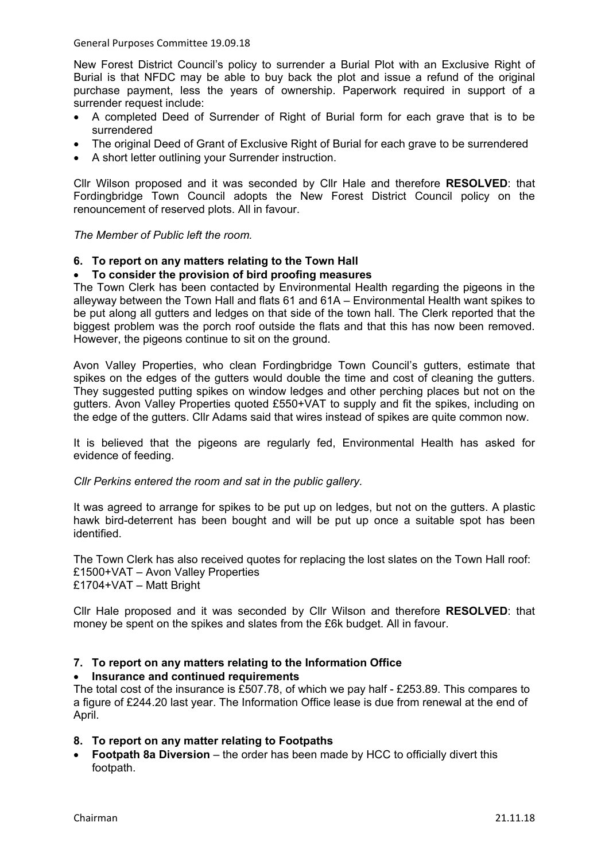General Purposes Committee 19.09.18

New Forest District Council's policy to surrender a Burial Plot with an Exclusive Right of Burial is that NFDC may be able to buy back the plot and issue a refund of the original purchase payment, less the years of ownership. Paperwork required in support of a surrender request include:

- A completed Deed of Surrender of Right of Burial form for each grave that is to be surrendered
- The original Deed of Grant of Exclusive Right of Burial for each grave to be surrendered
- A short letter outlining your Surrender instruction.

Cllr Wilson proposed and it was seconded by Cllr Hale and therefore **RESOLVED**: that Fordingbridge Town Council adopts the New Forest District Council policy on the renouncement of reserved plots. All in favour.

*The Member of Public left the room.*

## **6. To report on any matters relating to the Town Hall**

## • **To consider the provision of bird proofing measures**

The Town Clerk has been contacted by Environmental Health regarding the pigeons in the alleyway between the Town Hall and flats 61 and 61A – Environmental Health want spikes to be put along all gutters and ledges on that side of the town hall. The Clerk reported that the biggest problem was the porch roof outside the flats and that this has now been removed. However, the pigeons continue to sit on the ground.

Avon Valley Properties, who clean Fordingbridge Town Council's gutters, estimate that spikes on the edges of the gutters would double the time and cost of cleaning the gutters. They suggested putting spikes on window ledges and other perching places but not on the gutters. Avon Valley Properties quoted £550+VAT to supply and fit the spikes, including on the edge of the gutters. Cllr Adams said that wires instead of spikes are quite common now.

It is believed that the pigeons are regularly fed, Environmental Health has asked for evidence of feeding.

#### *Cllr Perkins entered the room and sat in the public gallery.*

It was agreed to arrange for spikes to be put up on ledges, but not on the gutters. A plastic hawk bird-deterrent has been bought and will be put up once a suitable spot has been identified.

The Town Clerk has also received quotes for replacing the lost slates on the Town Hall roof: £1500+VAT – Avon Valley Properties £1704+VAT – Matt Bright

Cllr Hale proposed and it was seconded by Cllr Wilson and therefore **RESOLVED**: that money be spent on the spikes and slates from the £6k budget. All in favour.

## **7. To report on any matters relating to the Information Office**

## • **Insurance and continued requirements**

The total cost of the insurance is £507.78, of which we pay half - £253.89. This compares to a figure of £244.20 last year. The Information Office lease is due from renewal at the end of April.

## **8. To report on any matter relating to Footpaths**

**Footpath 8a Diversion** – the order has been made by HCC to officially divert this footpath.